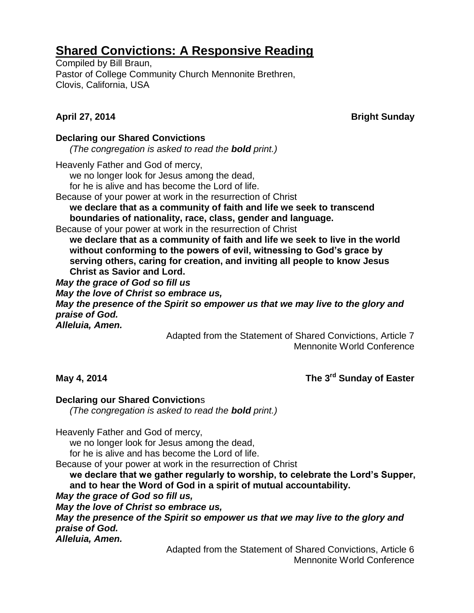# **Shared Convictions: A Responsive Reading**

Compiled by Bill Braun, Pastor of College Community Church Mennonite Brethren, Clovis, California, USA

**April 27, 2014** Bright Sunday

## **Declaring our Shared Convictions**

*(The congregation is asked to read the bold print.)*

Heavenly Father and God of mercy,

we no longer look for Jesus among the dead,

for he is alive and has become the Lord of life.

Because of your power at work in the resurrection of Christ

**we declare that as a community of faith and life we seek to transcend boundaries of nationality, race, class, gender and language.** 

Because of your power at work in the resurrection of Christ

**we declare that as a community of faith and life we seek to live in the world without conforming to the powers of evil, witnessing to God's grace by serving others, caring for creation, and inviting all people to know Jesus Christ as Savior and Lord.**

*May the grace of God so fill us May the love of Christ so embrace us, May the presence of the Spirit so empower us that we may live to the glory and praise of God. Alleluia, Amen.*

> Adapted from the Statement of Shared Convictions, Article 7 Mennonite World Conference

## **May 4, 2014** The 3<sup>rd</sup> Sunday of Easter

## **Declaring our Shared Conviction**s

*(The congregation is asked to read the bold print.)*

Heavenly Father and God of mercy,

we no longer look for Jesus among the dead,

for he is alive and has become the Lord of life.

Because of your power at work in the resurrection of Christ

**we declare that we gather regularly to worship, to celebrate the Lord's Supper, and to hear the Word of God in a spirit of mutual accountability.** 

*May the grace of God so fill us,*

*May the love of Christ so embrace us,*

*May the presence of the Spirit so empower us that we may live to the glory and praise of God.*

*Alleluia, Amen.*

Adapted from the Statement of Shared Convictions, Article 6 Mennonite World Conference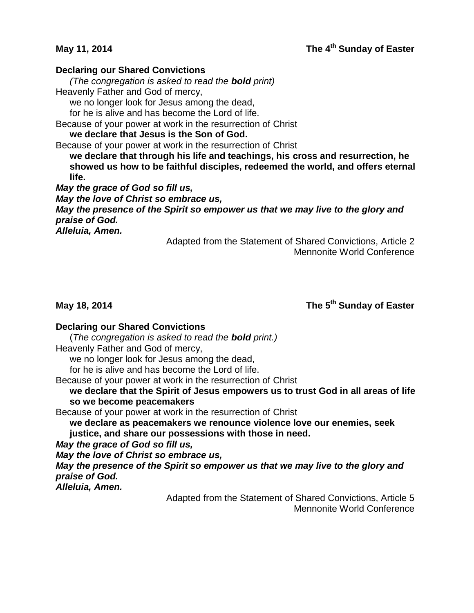## **May 11, 2014 The 4th Sunday of Easter**

#### **Declaring our Shared Convictions**

*(The congregation is asked to read the bold print)*

Heavenly Father and God of mercy,

we no longer look for Jesus among the dead,

for he is alive and has become the Lord of life.

Because of your power at work in the resurrection of Christ

**we declare that Jesus is the Son of God.**

Because of your power at work in the resurrection of Christ

**we declare that through his life and teachings, his cross and resurrection, he showed us how to be faithful disciples, redeemed the world, and offers eternal life.**

*May the grace of God so fill us, May the love of Christ so embrace us, May the presence of the Spirit so empower us that we may live to the glory and praise of God. Alleluia, Amen.*

Adapted from the Statement of Shared Convictions, Article 2 Mennonite World Conference

**May 18, 2014** The 5<sup>th</sup> Sunday of Easter

### **Declaring our Shared Convictions**

(*The congregation is asked to read the bold print.)*

Heavenly Father and God of mercy,

we no longer look for Jesus among the dead,

for he is alive and has become the Lord of life.

Because of your power at work in the resurrection of Christ

**we declare that the Spirit of Jesus empowers us to trust God in all areas of life so we become peacemakers**

Because of your power at work in the resurrection of Christ

**we declare as peacemakers we renounce violence love our enemies, seek justice, and share our possessions with those in need.** 

*May the grace of God so fill us,*

*May the love of Christ so embrace us,*

*May the presence of the Spirit so empower us that we may live to the glory and praise of God.*

*Alleluia, Amen.*

Adapted from the Statement of Shared Convictions, Article 5 Mennonite World Conference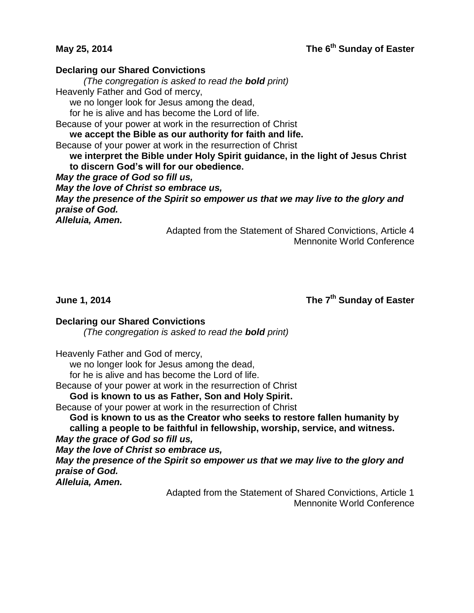## **May 25, 2014 The 6th Sunday of Easter**

### **Declaring our Shared Convictions**

*(The congregation is asked to read the bold print)*

Heavenly Father and God of mercy,

we no longer look for Jesus among the dead,

for he is alive and has become the Lord of life.

Because of your power at work in the resurrection of Christ

**we accept the Bible as our authority for faith and life.** 

Because of your power at work in the resurrection of Christ

**we interpret the Bible under Holy Spirit guidance, in the light of Jesus Christ to discern God's will for our obedience.**

*May the grace of God so fill us,*

*May the love of Christ so embrace us,*

*May the presence of the Spirit so empower us that we may live to the glory and praise of God.*

*Alleluia, Amen.*

Adapted from the Statement of Shared Convictions, Article 4 Mennonite World Conference

**June 1, 2014** 

**The 7<sup>th</sup> Sunday of Easter** 

### **Declaring our Shared Convictions**

*(The congregation is asked to read the bold print)*

Heavenly Father and God of mercy,

we no longer look for Jesus among the dead,

for he is alive and has become the Lord of life.

Because of your power at work in the resurrection of Christ

**God is known to us as Father, Son and Holy Spirit.**

Because of your power at work in the resurrection of Christ

**God is known to us as the Creator who seeks to restore fallen humanity by calling a people to be faithful in fellowship, worship, service, and witness.** 

*May the grace of God so fill us,*

*May the love of Christ so embrace us,*

*May the presence of the Spirit so empower us that we may live to the glory and praise of God.*

*Alleluia, Amen.*

Adapted from the Statement of Shared Convictions, Article 1 Mennonite World Conference